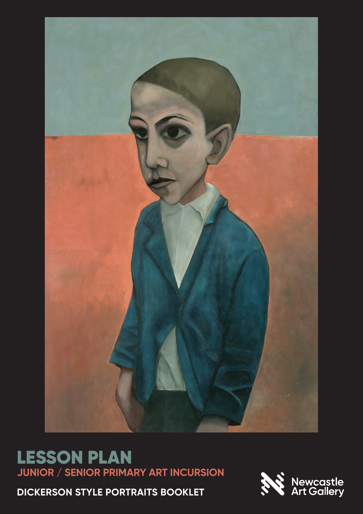

# LESSON PLAN **JUNIOR / SENIOR PRIMARY ART INCURSION**

**DICKERSON STYLE PORTRAITS BOOKLET**